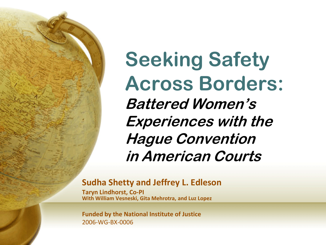

**Seeking Safety Across Borders: Battered Women's Experiences with the Hague Convention in American Courts**

### **Sudha Shetty and Jeffrey L. Edleson**

**Taryn Lindhorst, Co-PI With William Vesneski, Gita Mehrotra, and Luz Lopez**

**Funded by the National Institute of Justice** 2006-WG-BX-0006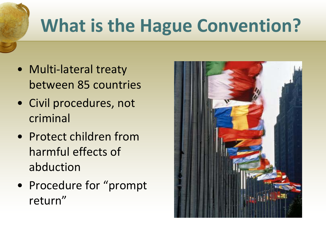# **What is the Hague Convention?**

- Multi-lateral treaty between 85 countries
- Civil procedures, not criminal
- Protect children from harmful effects of abduction
- Procedure for "prompt return"

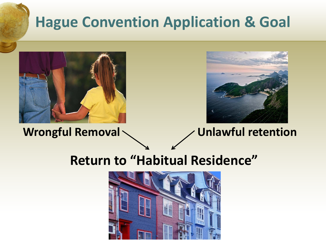## **Hague Convention Application & Goal**





**Wrongful Removal Unlawful retention**

### **Return to "Habitual Residence"**

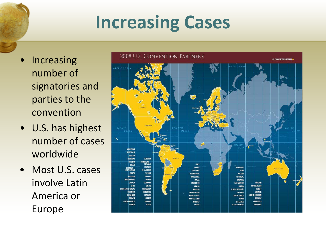## **Increasing Cases**

- Increasing number of signatories and parties to the convention
- U.S. has highest number of cases worldwide
- Most U.S. cases involve Latin America or Europe

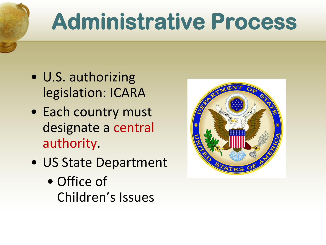# **Administrative Process**

- U.S. authorizing legislation: ICARA
- Each country must designate a central authority.
- US State Department
	- Office of Children's Issues

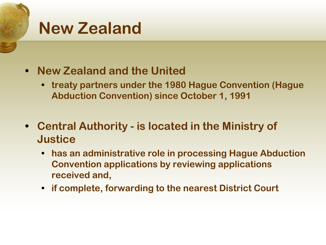## **New Zealand**

- **• New Zealand and the United**
	- **• treaty partners under the 1980 Hague Convention (Hague Abduction Convention) since October 1, 1991**
- **• Central Authority - is located in the Ministry of Justice**
	- **• has an administrative role in processing Hague Abduction Convention applications by reviewing applications received and,**
	- **• if complete, forwarding to the nearest District Court**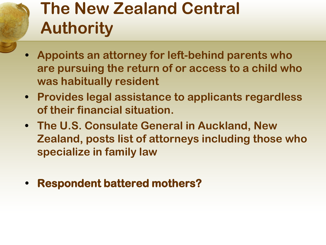## **The New Zealand Central Authority**

- **• Appoints an attorney for left-behind parents who are pursuing the return of or access to a child who was habitually resident**
- **• Provides legal assistance to applicants regardless of their financial situation.**
- **• The U.S. Consulate General in Auckland, New Zealand, posts list of attorneys including those who specialize in family law**
- **• Respondent battered mothers?**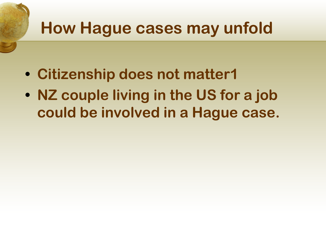## **How Hague cases may unfold**

- **• Citizenship does not matter1**
- **• NZ couple living in the US for a job could be involved in a Hague case.**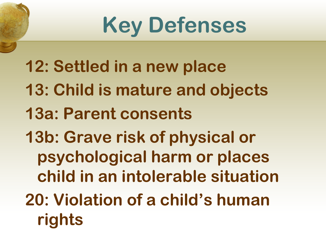# **Key Defenses**

- **12: Settled in a new place**
- **13: Child is mature and objects**
- **13a: Parent consents**
- **13b: Grave risk of physical or psychological harm or places child in an intolerable situation**
- **20: Violation of a child's human rights**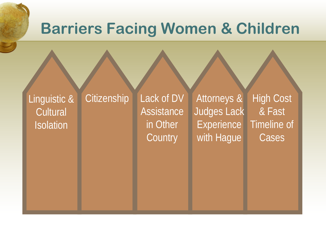## **Barriers Facing Women & Children**

Linguistic & **Cultural Isolation** 

Citizenship Lack of DV **Assistance** in Other **Country** 

Attorneys & Judges Lack Experience<sup>1</sup> with Hague

High Cost & Fast Timeline of Cases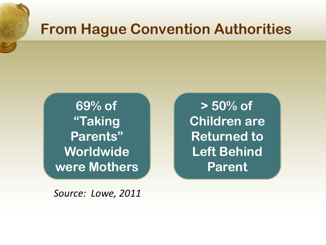## **From Hague Convention Authorities**

**69% of "Taking Parents" Worldwide were Mothers**

*Source: Lowe, 2011*

**> 50% of Children are Returned to Left Behind Parent**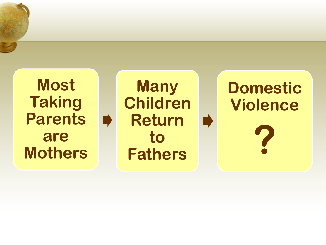**Most Taking Parents are Mothers**

D

**Many Children Return**  D **to Fathers**

# **Domestic Violence ?**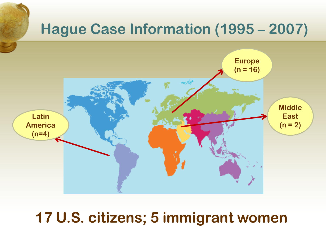

### **17 U.S. citizens; 5 immigrant women**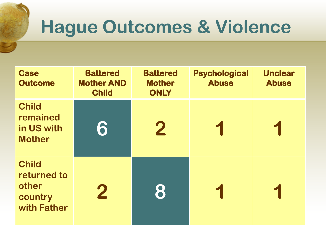# **Hague Outcomes & Violence**

| <b>Case</b><br><b>Outcome</b>                                  | <b>Battered</b><br><b>Mother AND</b><br><b>Child</b> | <b>Battered</b><br><b>Mother</b><br><b>ONLY</b> | <b>Psychological</b><br><b>Abuse</b> | <b>Unclear</b><br><b>Abuse</b> |
|----------------------------------------------------------------|------------------------------------------------------|-------------------------------------------------|--------------------------------------|--------------------------------|
| <b>Child</b><br>remained<br>in US with<br><b>Mother</b>        | 6                                                    | $\mathbf 2$                                     |                                      |                                |
| <b>Child</b><br>returned to<br>other<br>country<br>with Father | $\bf{2}$                                             | 8                                               |                                      |                                |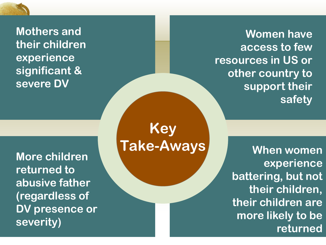

**Women have access to few resources in US or other country to support their safety**

**Mothers and their children experience significant & severe DV**

**More children returned to abusive father (regardless of DV presence or severity)**

**Key Take-Aways** When women

**experience battering, but not their children, their children are more likely to be returned**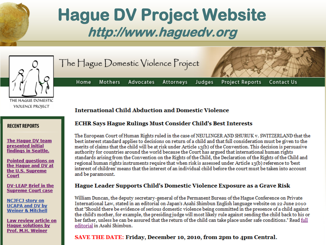



### **International Child Abduction and Domestic Violence**

Mothers

Home

The Hague Domestic Violence Project

Advocates

#### **RECENT REPORTS**

The Hague DV team presented initial findings in Seattle.

**Pointed auestions on** the Hague and DV at the U.S. Supreme Court

**DV-LEAP Brief in the Supreme Court case** 

**NCJFCJ story on UCAPA and DV by Weiner & Mitchell** 

Law review article on **Hague solutions by Prof. M.H. Weiner** 

### **ECHR Says Hague Rulings Must Consider Child's Best Interests**

Attorneys

The European Court of Human Rights ruled in the case of NEULINGER AND SHURUK v. SWITZERLAND that the best interest standard applies to decisions on return of a child and that full consideration must be given to the merits of claims that the child will be at risk under Article 13(b) of the Convention. This decision is persuasive authority for countries around the world because the Court has argued that international human rights standards arising from the Convention on the Rights of the Child, the Declaration of the Rights of the Child and regional human rights instruments require that when risk is assessed under Article 13(b) reference to 'best interest of children' means that the interest of an individual child before the court must be taken into account and be paramount.

Judges

Project Reports

Contact Us

### Hague Leader Supports Child's Domestic Violence Exposure as a Grave Risk

William Duncan, the deputy secretary-general of the Permanent Bureau of the Hague Conference on Private International Law, stated in an editorial on Japan's Asahi Shimbun English language website on 22 June 2010 that "Should there be evidence of serious domestic violence being committed in the presence of a child against the child's mother, for example, the presiding judge will most likely rule against sending the child back to his or her father, unless he can be assured that the return of the child can take place under safe conditions." Read full editorial in Asahi Shimbun.

### SAVE THE DATE: Friday, December 10, 2010, from 2pm to 4pm Central.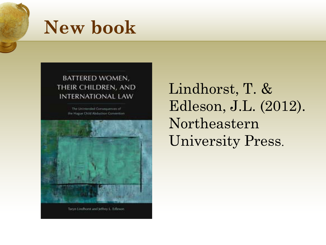

## **New book**

### BATTERED WOMEN, THEIR CHILDREN, AND **INTERNATIONAL LAW**

The Unintended Corpoguesces of the Hattar Child Abdurbon Convention



Taryn Lindboot and Jeffrey L. Edleson

Lindhorst, T. & Edleson, J.L. (2012). Northeastern University Press.